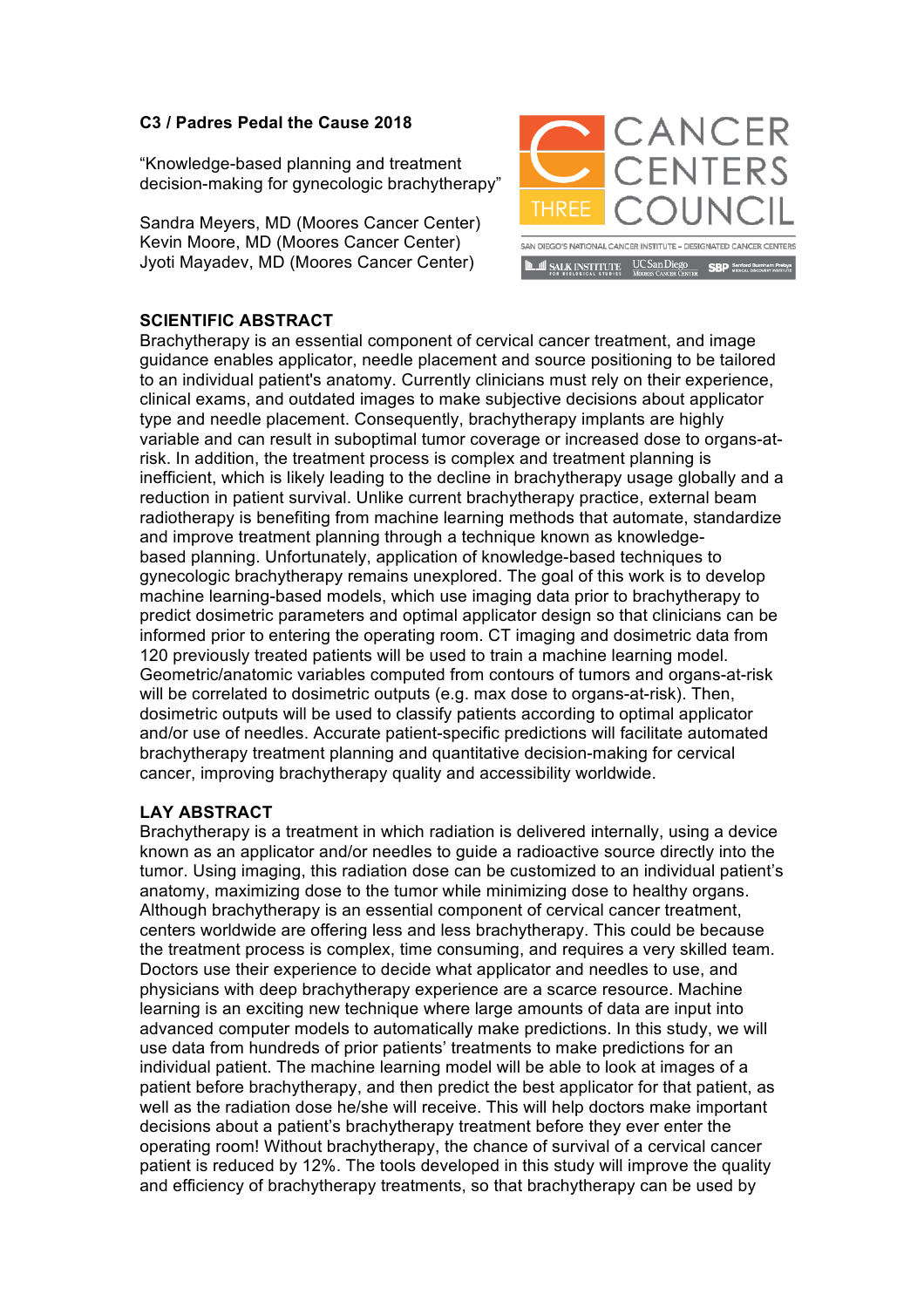## **C3 / Padres Pedal the Cause 2018**

"Knowledge-based planning and treatment decision-making for gynecologic brachytherapy"

Sandra Meyers, MD (Moores Cancer Center) Kevin Moore, MD (Moores Cancer Center) Jyoti Mayadev, MD (Moores Cancer Center)



## **SCIENTIFIC ABSTRACT**

Brachytherapy is an essential component of cervical cancer treatment, and image guidance enables applicator, needle placement and source positioning to be tailored to an individual patient's anatomy. Currently clinicians must rely on their experience, clinical exams, and outdated images to make subjective decisions about applicator type and needle placement. Consequently, brachytherapy implants are highly variable and can result in suboptimal tumor coverage or increased dose to organs-atrisk. In addition, the treatment process is complex and treatment planning is inefficient, which is likely leading to the decline in brachytherapy usage globally and a reduction in patient survival. Unlike current brachytherapy practice, external beam radiotherapy is benefiting from machine learning methods that automate, standardize and improve treatment planning through a technique known as knowledgebased planning. Unfortunately, application of knowledge-based techniques to gynecologic brachytherapy remains unexplored. The goal of this work is to develop machine learning-based models, which use imaging data prior to brachytherapy to predict dosimetric parameters and optimal applicator design so that clinicians can be informed prior to entering the operating room. CT imaging and dosimetric data from 120 previously treated patients will be used to train a machine learning model. Geometric/anatomic variables computed from contours of tumors and organs-at-risk will be correlated to dosimetric outputs (e.g. max dose to organs-at-risk). Then, dosimetric outputs will be used to classify patients according to optimal applicator and/or use of needles. Accurate patient-specific predictions will facilitate automated brachytherapy treatment planning and quantitative decision-making for cervical cancer, improving brachytherapy quality and accessibility worldwide.

## **LAY ABSTRACT**

Brachytherapy is a treatment in which radiation is delivered internally, using a device known as an applicator and/or needles to guide a radioactive source directly into the tumor. Using imaging, this radiation dose can be customized to an individual patient's anatomy, maximizing dose to the tumor while minimizing dose to healthy organs. Although brachytherapy is an essential component of cervical cancer treatment, centers worldwide are offering less and less brachytherapy. This could be because the treatment process is complex, time consuming, and requires a very skilled team. Doctors use their experience to decide what applicator and needles to use, and physicians with deep brachytherapy experience are a scarce resource. Machine learning is an exciting new technique where large amounts of data are input into advanced computer models to automatically make predictions. In this study, we will use data from hundreds of prior patients' treatments to make predictions for an individual patient. The machine learning model will be able to look at images of a patient before brachytherapy, and then predict the best applicator for that patient, as well as the radiation dose he/she will receive. This will help doctors make important decisions about a patient's brachytherapy treatment before they ever enter the operating room! Without brachytherapy, the chance of survival of a cervical cancer patient is reduced by 12%. The tools developed in this study will improve the quality and efficiency of brachytherapy treatments, so that brachytherapy can be used by